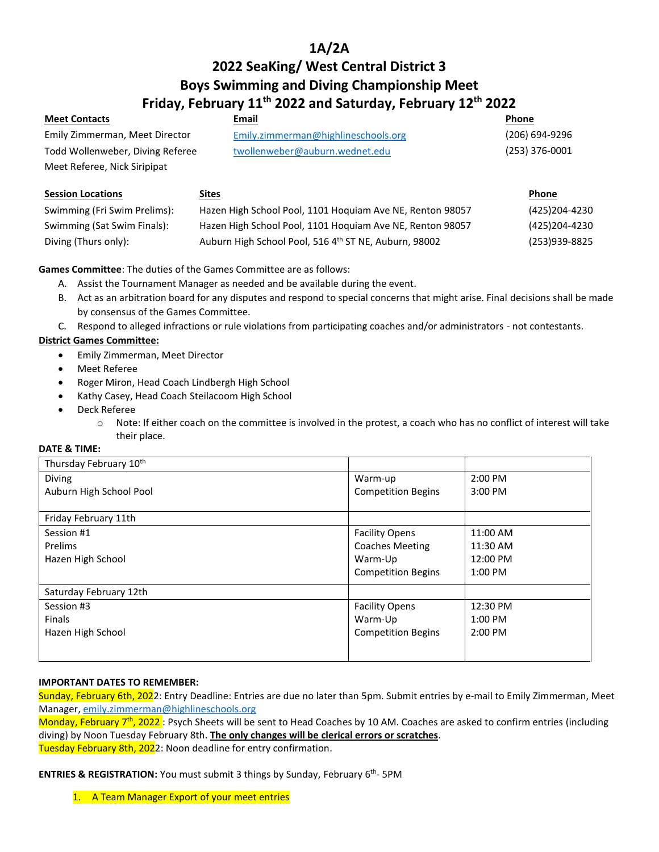# **1A/2A**

# **2022 SeaKing/ West Central District 3 Boys Swimming and Diving Championship Meet Friday, February 11th 2022 and Saturday, February 12th 2022**

| <b>Meet Contacts</b>             | Email                               | Phone          |
|----------------------------------|-------------------------------------|----------------|
| Emily Zimmerman, Meet Director   | Emily.zimmerman@highlineschools.org | (206) 694-9296 |
| Todd Wollenweber, Diving Referee | twollenweber@auburn.wednet.edu      | (253) 376-0001 |
| Meet Referee, Nick Siripipat     |                                     |                |
|                                  |                                     |                |

| <b>Session Locations</b>     | <u>Sites</u>                                              | <b>Phone</b>  |
|------------------------------|-----------------------------------------------------------|---------------|
| Swimming (Fri Swim Prelims): | Hazen High School Pool, 1101 Hoguiam Ave NE, Renton 98057 | (425)204-4230 |
| Swimming (Sat Swim Finals):  | Hazen High School Pool, 1101 Hoquiam Ave NE, Renton 98057 | (425)204-4230 |
| Diving (Thurs only):         | Auburn High School Pool, 516 4th ST NE, Auburn, 98002     | (253)939-8825 |

**Games Committee**: The duties of the Games Committee are as follows:

- A. Assist the Tournament Manager as needed and be available during the event.
- B. Act as an arbitration board for any disputes and respond to special concerns that might arise. Final decisions shall be made by consensus of the Games Committee.
- C. Respond to alleged infractions or rule violations from participating coaches and/or administrators not contestants.

## **District Games Committee:**

- Emily Zimmerman, Meet Director
- Meet Referee
- Roger Miron, Head Coach Lindbergh High School
- Kathy Casey, Head Coach Steilacoom High School
- Deck Referee
	- $\circ$  Note: If either coach on the committee is involved in the protest, a coach who has no conflict of interest will take their place.

## **DATE & TIME:**

| Thursday February 10 <sup>th</sup> |                           |           |
|------------------------------------|---------------------------|-----------|
| Diving                             | Warm-up                   | 2:00 PM   |
| Auburn High School Pool            | <b>Competition Begins</b> | 3:00 PM   |
|                                    |                           |           |
| Friday February 11th               |                           |           |
| Session #1                         | <b>Facility Opens</b>     | 11:00 AM  |
| Prelims                            | <b>Coaches Meeting</b>    | 11:30 AM  |
| Hazen High School                  | Warm-Up                   | 12:00 PM  |
|                                    | <b>Competition Begins</b> | $1:00$ PM |
| Saturday February 12th             |                           |           |
| Session #3                         | <b>Facility Opens</b>     | 12:30 PM  |
| <b>Finals</b>                      | Warm-Up                   | $1:00$ PM |
| Hazen High School                  | <b>Competition Begins</b> | $2:00$ PM |
|                                    |                           |           |
|                                    |                           |           |

#### **IMPORTANT DATES TO REMEMBER:**

Sunday, February 6th, 2022: Entry Deadline: Entries are due no later than 5pm. Submit entries by e-mail to Emily Zimmerman, Meet Manager, [emily.zimmerman@highlineschools.org](mailto:emily.zimmerman@highlineschools.org)

Monday, February 7<sup>th</sup>, 2022 : Psych Sheets will be sent to Head Coaches by 10 AM. Coaches are asked to confirm entries (including diving) by Noon Tuesday February 8th. **The only changes will be clerical errors or scratches**. Tuesday February 8th, 2022: Noon deadline for entry confirmation.

**ENTRIES & REGISTRATION:** You must submit 3 things by Sunday, February 6<sup>th</sup>-5PM

1. A Team Manager Export of your meet entries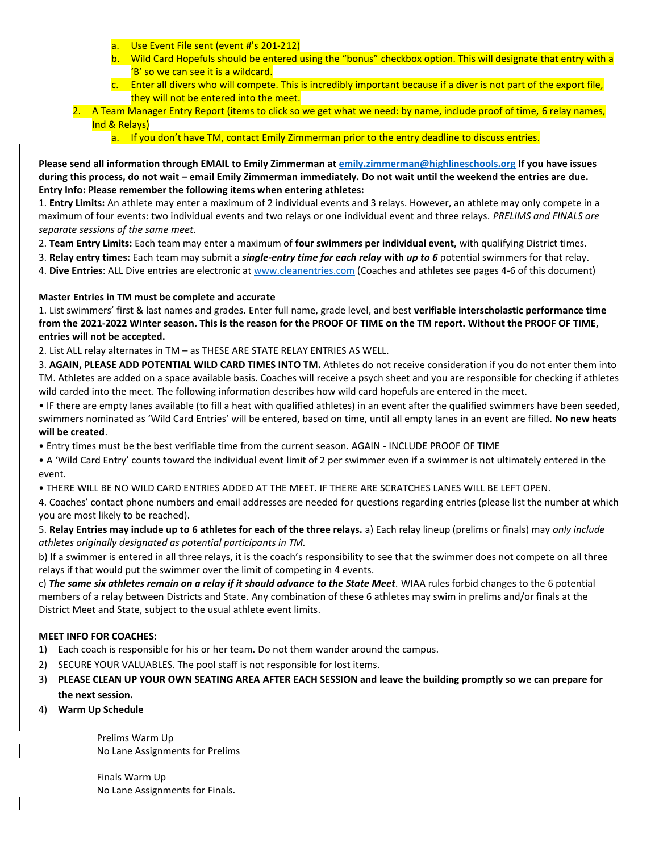- a. Use Event File sent (event #'s 201-212)
- b. Wild Card Hopefuls should be entered using the "bonus" checkbox option. This will designate that entry with a 'B' so we can see it is a wildcard.
- c. Enter all divers who will compete. This is incredibly important because if a diver is not part of the export file, they will not be entered into the meet.
- 2. A Team Manager Entry Report (items to click so we get what we need: by name, include proof of time, 6 relay names, Ind & Relays)
	- a. If you don't have TM, contact Emily Zimmerman prior to the entry deadline to discuss entries.

**Please send all information through EMAIL to Emily Zimmerman at [emily.zimmerman@highlineschools.org](mailto:emily.zimmerman@highlineschools.org) If you have issues during this process, do not wait – email Emily Zimmerman immediately. Do not wait until the weekend the entries are due. Entry Info: Please remember the following items when entering athletes:** 

1. **Entry Limits:** An athlete may enter a maximum of 2 individual events and 3 relays. However, an athlete may only compete in a maximum of four events: two individual events and two relays or one individual event and three relays. *PRELIMS and FINALS are separate sessions of the same meet.* 

- 2. **Team Entry Limits:** Each team may enter a maximum of **four swimmers per individual event,** with qualifying District times.
- 3. **Relay entry times:** Each team may submit a *single-entry time for each relay* **with** *up to 6* potential swimmers for that relay.

4. **Dive Entries**: ALL Dive entries are electronic at [www.cleanentries.com](http://www.cleanentries.com/) (Coaches and athletes see pages 4-6 of this document)

## **Master Entries in TM must be complete and accurate**

1. List swimmers' first & last names and grades. Enter full name, grade level, and best **verifiable interscholastic performance time from the 2021-2022 WInter season. This is the reason for the PROOF OF TIME on the TM report. Without the PROOF OF TIME, entries will not be accepted.** 

2. List ALL relay alternates in TM – as THESE ARE STATE RELAY ENTRIES AS WELL.

3. **AGAIN, PLEASE ADD POTENTIAL WILD CARD TIMES INTO TM.** Athletes do not receive consideration if you do not enter them into TM. Athletes are added on a space available basis. Coaches will receive a psych sheet and you are responsible for checking if athletes wild carded into the meet. The following information describes how wild card hopefuls are entered in the meet.

• IF there are empty lanes available (to fill a heat with qualified athletes) in an event after the qualified swimmers have been seeded, swimmers nominated as 'Wild Card Entries' will be entered, based on time, until all empty lanes in an event are filled. **No new heats will be created**.

• Entry times must be the best verifiable time from the current season. AGAIN - INCLUDE PROOF OF TIME

• A 'Wild Card Entry' counts toward the individual event limit of 2 per swimmer even if a swimmer is not ultimately entered in the event.

• THERE WILL BE NO WILD CARD ENTRIES ADDED AT THE MEET. IF THERE ARE SCRATCHES LANES WILL BE LEFT OPEN.

4. Coaches' contact phone numbers and email addresses are needed for questions regarding entries (please list the number at which you are most likely to be reached).

5. **Relay Entries may include up to 6 athletes for each of the three relays.** a) Each relay lineup (prelims or finals) may *only include athletes originally designated as potential participants in TM.* 

b) If a swimmer is entered in all three relays, it is the coach's responsibility to see that the swimmer does not compete on all three relays if that would put the swimmer over the limit of competing in 4 events.

c) *The same six athletes remain on a relay if it should advance to the State Meet.* WIAA rules forbid changes to the 6 potential members of a relay between Districts and State. Any combination of these 6 athletes may swim in prelims and/or finals at the District Meet and State, subject to the usual athlete event limits.

#### **MEET INFO FOR COACHES:**

- 1) Each coach is responsible for his or her team. Do not them wander around the campus.
- 2) SECURE YOUR VALUABLES. The pool staff is not responsible for lost items.
- 3) **PLEASE CLEAN UP YOUR OWN SEATING AREA AFTER EACH SESSION and leave the building promptly so we can prepare for the next session.**
- 4) **Warm Up Schedule**

Prelims Warm Up No Lane Assignments for Prelims

Finals Warm Up No Lane Assignments for Finals.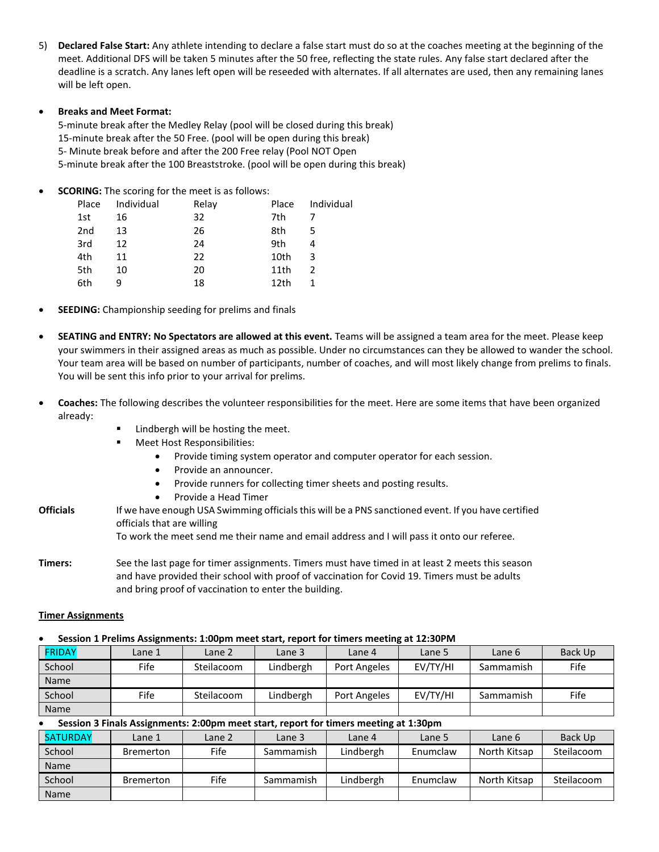5) **Declared False Start:** Any athlete intending to declare a false start must do so at the coaches meeting at the beginning of the meet. Additional DFS will be taken 5 minutes after the 50 free, reflecting the state rules. Any false start declared after the deadline is a scratch. Any lanes left open will be reseeded with alternates. If all alternates are used, then any remaining lanes will be left open.

#### • **Breaks and Meet Format:**

5-minute break after the Medley Relay (pool will be closed during this break) 15-minute break after the 50 Free. (pool will be open during this break) 5- Minute break before and after the 200 Free relay (Pool NOT Open 5-minute break after the 100 Breaststroke. (pool will be open during this break)

**SCORING:** The scoring for the meet is as follows:

| Place | Individual | Relay | Place            | Individual |
|-------|------------|-------|------------------|------------|
| 1st   | 16         | 32    | 7th              |            |
| 2nd   | 13         | 26    | 8th              | 5          |
| 3rd   | 12         | 24    | 9th              |            |
| 4th   | 11         | 22    | 10th             | 3          |
| 5th   | 10         | 20    | 11th             | 2          |
| 6th   |            | 18    | 12 <sub>th</sub> |            |

- **SEEDING:** Championship seeding for prelims and finals
- **SEATING and ENTRY: No Spectators are allowed at this event.** Teams will be assigned a team area for the meet. Please keep your swimmers in their assigned areas as much as possible. Under no circumstances can they be allowed to wander the school. Your team area will be based on number of participants, number of coaches, and will most likely change from prelims to finals. You will be sent this info prior to your arrival for prelims.
- **Coaches:** The following describes the volunteer responsibilities for the meet. Here are some items that have been organized already:
	- Lindbergh will be hosting the meet.
	- Meet Host Responsibilities:
		- Provide timing system operator and computer operator for each session.
		- Provide an announcer.
		- Provide runners for collecting timer sheets and posting results.
		- Provide a Head Timer
- **Officials** If we have enough USA Swimming officials this will be a PNS sanctioned event. If you have certified officials that are willing To work the meet send me their name and email address and I will pass it onto our referee.
- **Timers:** See the last page for timer assignments. Timers must have timed in at least 2 meets this season and have provided their school with proof of vaccination for Covid 19. Timers must be adults and bring proof of vaccination to enter the building.

#### **Timer Assignments**

# • **Session 1 Prelims Assignments: 1:00pm meet start, report for timers meeting at 12:30PM**

| <b>FRIDAY</b> | Lane 1 | Lane 2     | Lane 3    | Lane 4       | Lane 5   | Lane 6    | Back Up |
|---------------|--------|------------|-----------|--------------|----------|-----------|---------|
| School        | Fife   | Steilacoom | Lindbergh | Port Angeles | EV/TY/HI | Sammamish | Fife    |
| <b>Name</b>   |        |            |           |              |          |           |         |
| School        | Fife   | Steilacoom | Lindbergh | Port Angeles | EV/TY/HI | Sammamish | Fife    |
| <b>Name</b>   |        |            |           |              |          |           |         |

# • **Session 3 Finals Assignments: 2:00pm meet start, report for timers meeting at 1:30pm**

| SATURDAY    | Lane 1    | Lane 2 | Lane 3    | Lane 4    | Lane 5   | Lane 6       | Back Up    |
|-------------|-----------|--------|-----------|-----------|----------|--------------|------------|
| School      | Bremerton | Fife   | Sammamish | Lindbergh | Enumclaw | North Kitsap | Steilacoom |
| <b>Name</b> |           |        |           |           |          |              |            |
| School      | Bremerton | Fife   | Sammamish | Lindbergh | Enumclaw | North Kitsap | Steilacoom |
| Name        |           |        |           |           |          |              |            |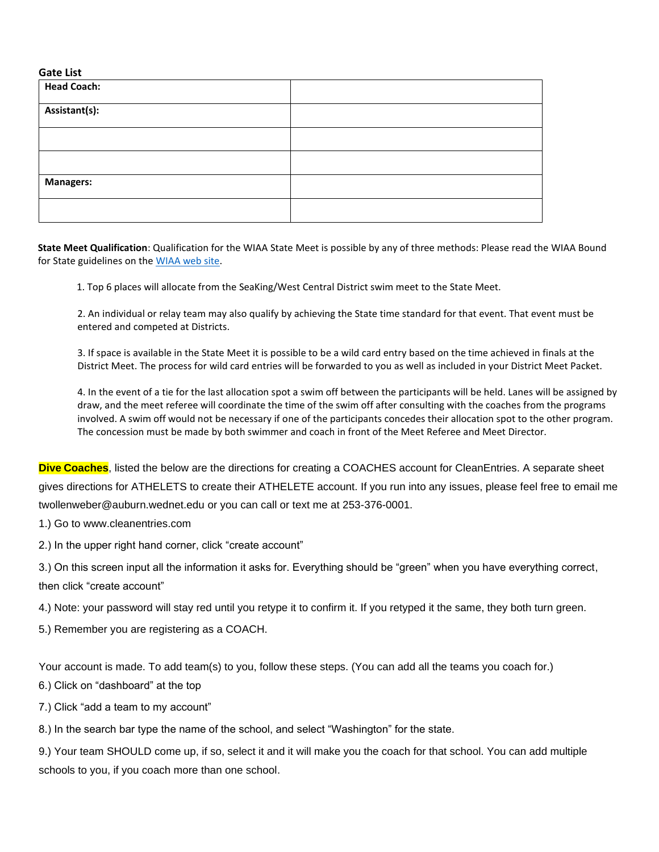#### **Gate List**

| <b>Head Coach:</b> |  |
|--------------------|--|
| Assistant(s):      |  |
|                    |  |
|                    |  |
| <b>Managers:</b>   |  |
|                    |  |

**State Meet Qualification**: Qualification for the WIAA State Meet is possible by any of three methods: Please read the WIAA Bound for State guidelines on the [WIAA web site.](http://www.wiaa.com/subcontent.aspx?SecID=314)

1. Top 6 places will allocate from the SeaKing/West Central District swim meet to the State Meet.

2. An individual or relay team may also qualify by achieving the State time standard for that event. That event must be entered and competed at Districts.

3. If space is available in the State Meet it is possible to be a wild card entry based on the time achieved in finals at the District Meet. The process for wild card entries will be forwarded to you as well as included in your District Meet Packet.

4. In the event of a tie for the last allocation spot a swim off between the participants will be held. Lanes will be assigned by draw, and the meet referee will coordinate the time of the swim off after consulting with the coaches from the programs involved. A swim off would not be necessary if one of the participants concedes their allocation spot to the other program. The concession must be made by both swimmer and coach in front of the Meet Referee and Meet Director.

**Dive Coaches**, listed the below are the directions for creating a COACHES account for CleanEntries. A separate sheet gives directions for ATHELETS to create their ATHELETE account. If you run into any issues, please feel free to email me twollenweber@auburn.wednet.edu or you can call or text me at 253-376-0001.

1.) Go to www.cleanentries.com

2.) In the upper right hand corner, click "create account"

3.) On this screen input all the information it asks for. Everything should be "green" when you have everything correct, then click "create account"

4.) Note: your password will stay red until you retype it to confirm it. If you retyped it the same, they both turn green.

5.) Remember you are registering as a COACH.

Your account is made. To add team(s) to you, follow these steps. (You can add all the teams you coach for.)

6.) Click on "dashboard" at the top

7.) Click "add a team to my account"

8.) In the search bar type the name of the school, and select "Washington" for the state.

9.) Your team SHOULD come up, if so, select it and it will make you the coach for that school. You can add multiple schools to you, if you coach more than one school.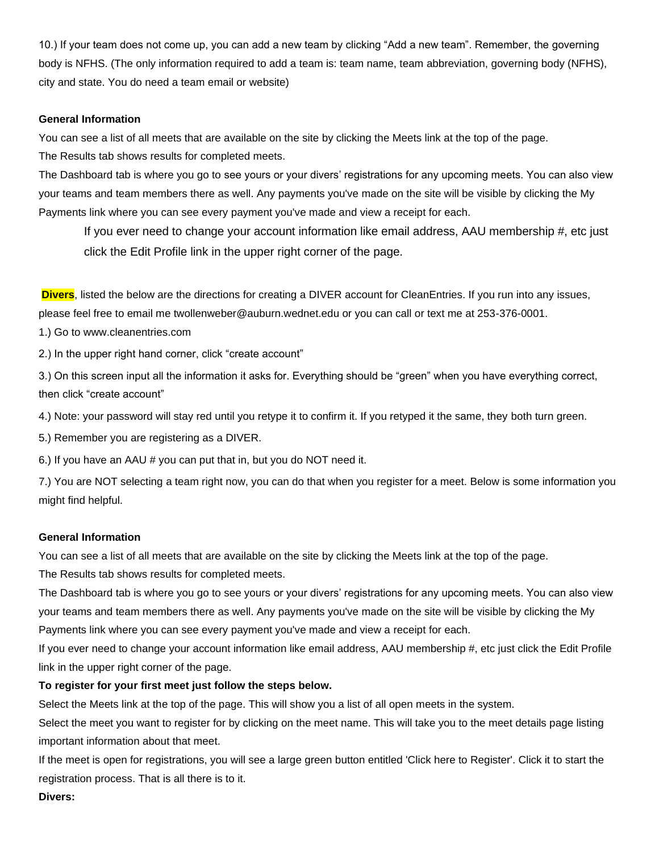10.) If your team does not come up, you can add a new team by clicking "Add a new team". Remember, the governing body is NFHS. (The only information required to add a team is: team name, team abbreviation, governing body (NFHS), city and state. You do need a team email or website)

#### **General Information**

You can see a list of all meets that are available on the site by clicking the Meets link at the top of the page. The Results tab shows results for completed meets.

The Dashboard tab is where you go to see yours or your divers' registrations for any upcoming meets. You can also view your teams and team members there as well. Any payments you've made on the site will be visible by clicking the My Payments link where you can see every payment you've made and view a receipt for each.

If you ever need to change your account information like email address, AAU membership #, etc just click the Edit Profile link in the upper right corner of the page.

**Divers**, listed the below are the directions for creating a DIVER account for CleanEntries. If you run into any issues, please feel free to email me twollenweber@auburn.wednet.edu or you can call or text me at 253-376-0001.

1.) Go to www.cleanentries.com

2.) In the upper right hand corner, click "create account"

3.) On this screen input all the information it asks for. Everything should be "green" when you have everything correct, then click "create account"

4.) Note: your password will stay red until you retype it to confirm it. If you retyped it the same, they both turn green.

5.) Remember you are registering as a DIVER.

6.) If you have an AAU # you can put that in, but you do NOT need it.

7.) You are NOT selecting a team right now, you can do that when you register for a meet. Below is some information you might find helpful.

#### **General Information**

You can see a list of all meets that are available on the site by clicking the Meets link at the top of the page.

The Results tab shows results for completed meets.

The Dashboard tab is where you go to see yours or your divers' registrations for any upcoming meets. You can also view your teams and team members there as well. Any payments you've made on the site will be visible by clicking the My Payments link where you can see every payment you've made and view a receipt for each.

If you ever need to change your account information like email address, AAU membership #, etc just click the Edit Profile link in the upper right corner of the page.

## **To register for your first meet just follow the steps below.**

Select the Meets link at the top of the page. This will show you a list of all open meets in the system.

Select the meet you want to register for by clicking on the meet name. This will take you to the meet details page listing important information about that meet.

If the meet is open for registrations, you will see a large green button entitled 'Click here to Register'. Click it to start the registration process. That is all there is to it.

**Divers:**